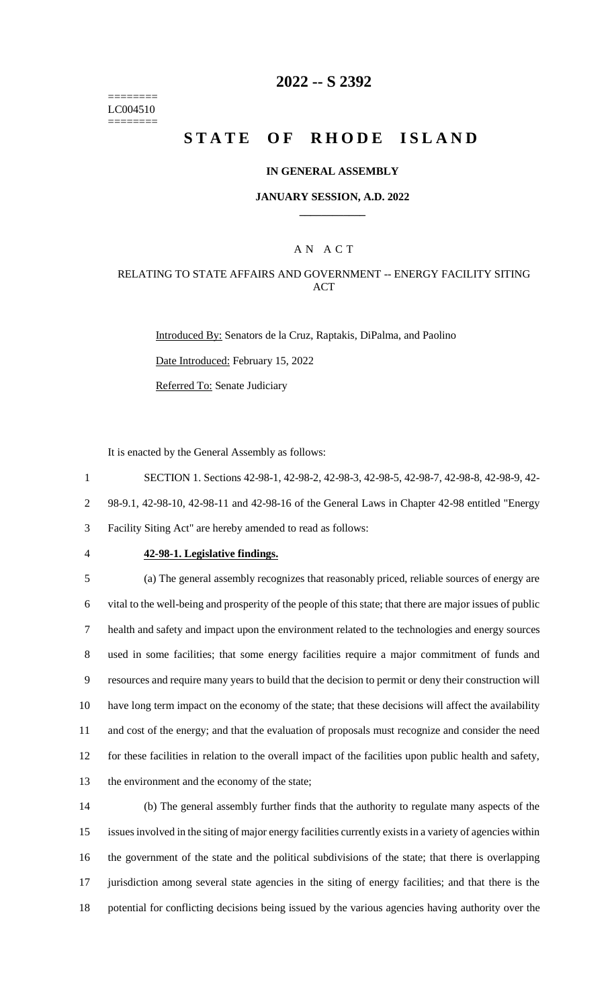======== LC004510 ========

## **2022 -- S 2392**

# **STATE OF RHODE ISLAND**

### **IN GENERAL ASSEMBLY**

### **JANUARY SESSION, A.D. 2022 \_\_\_\_\_\_\_\_\_\_\_\_**

## A N A C T

## RELATING TO STATE AFFAIRS AND GOVERNMENT -- ENERGY FACILITY SITING ACT

Introduced By: Senators de la Cruz, Raptakis, DiPalma, and Paolino Date Introduced: February 15, 2022

Referred To: Senate Judiciary

It is enacted by the General Assembly as follows:

1 SECTION 1. Sections 42-98-1, 42-98-2, 42-98-3, 42-98-5, 42-98-7, 42-98-8, 42-98-9, 42-

2 98-9.1, 42-98-10, 42-98-11 and 42-98-16 of the General Laws in Chapter 42-98 entitled "Energy

3 Facility Siting Act" are hereby amended to read as follows:

### 4 **42-98-1. Legislative findings.**

 (a) The general assembly recognizes that reasonably priced, reliable sources of energy are vital to the well-being and prosperity of the people of this state; that there are major issues of public health and safety and impact upon the environment related to the technologies and energy sources used in some facilities; that some energy facilities require a major commitment of funds and resources and require many years to build that the decision to permit or deny their construction will have long term impact on the economy of the state; that these decisions will affect the availability and cost of the energy; and that the evaluation of proposals must recognize and consider the need for these facilities in relation to the overall impact of the facilities upon public health and safety, the environment and the economy of the state;

 (b) The general assembly further finds that the authority to regulate many aspects of the issues involved in the siting of major energy facilities currently exists in a variety of agencies within the government of the state and the political subdivisions of the state; that there is overlapping jurisdiction among several state agencies in the siting of energy facilities; and that there is the potential for conflicting decisions being issued by the various agencies having authority over the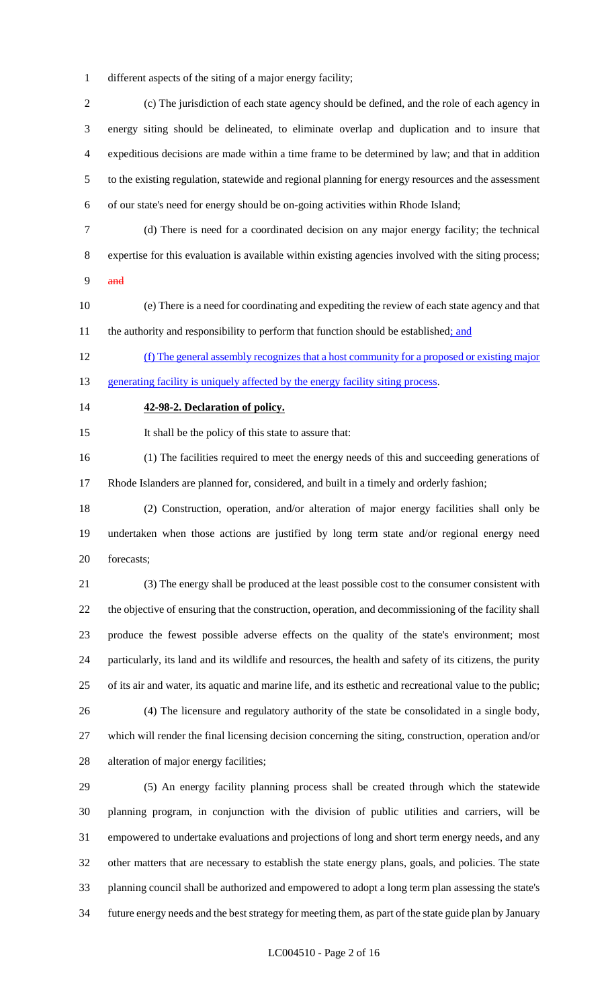different aspects of the siting of a major energy facility;

 (c) The jurisdiction of each state agency should be defined, and the role of each agency in energy siting should be delineated, to eliminate overlap and duplication and to insure that expeditious decisions are made within a time frame to be determined by law; and that in addition to the existing regulation, statewide and regional planning for energy resources and the assessment of our state's need for energy should be on-going activities within Rhode Island;

(d) There is need for a coordinated decision on any major energy facility; the technical

expertise for this evaluation is available within existing agencies involved with the siting process;

- and
- (e) There is a need for coordinating and expediting the review of each state agency and that 11 the authority and responsibility to perform that function should be established; and

 (f) The general assembly recognizes that a host community for a proposed or existing major 13 generating facility is uniquely affected by the energy facility siting process.

### **42-98-2. Declaration of policy.**

It shall be the policy of this state to assure that:

(1) The facilities required to meet the energy needs of this and succeeding generations of

Rhode Islanders are planned for, considered, and built in a timely and orderly fashion;

 (2) Construction, operation, and/or alteration of major energy facilities shall only be undertaken when those actions are justified by long term state and/or regional energy need forecasts;

 (3) The energy shall be produced at the least possible cost to the consumer consistent with the objective of ensuring that the construction, operation, and decommissioning of the facility shall produce the fewest possible adverse effects on the quality of the state's environment; most particularly, its land and its wildlife and resources, the health and safety of its citizens, the purity of its air and water, its aquatic and marine life, and its esthetic and recreational value to the public; (4) The licensure and regulatory authority of the state be consolidated in a single body,

 which will render the final licensing decision concerning the siting, construction, operation and/or alteration of major energy facilities;

 (5) An energy facility planning process shall be created through which the statewide planning program, in conjunction with the division of public utilities and carriers, will be empowered to undertake evaluations and projections of long and short term energy needs, and any other matters that are necessary to establish the state energy plans, goals, and policies. The state planning council shall be authorized and empowered to adopt a long term plan assessing the state's future energy needs and the best strategy for meeting them, as part of the state guide plan by January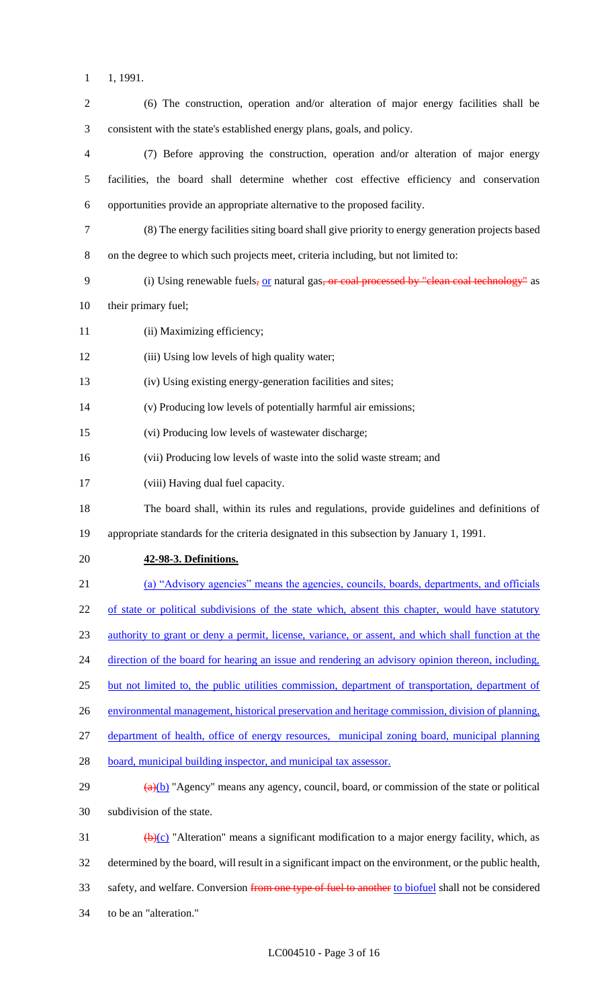- 1, 1991.
- (6) The construction, operation and/or alteration of major energy facilities shall be consistent with the state's established energy plans, goals, and policy. (7) Before approving the construction, operation and/or alteration of major energy facilities, the board shall determine whether cost effective efficiency and conservation opportunities provide an appropriate alternative to the proposed facility. (8) The energy facilities siting board shall give priority to energy generation projects based on the degree to which such projects meet, criteria including, but not limited to: 9 (i) Using renewable fuels, or natural gas, or coal processed by "clean coal technology" as their primary fuel; 11 (ii) Maximizing efficiency; 12 (iii) Using low levels of high quality water; (iv) Using existing energy-generation facilities and sites; (v) Producing low levels of potentially harmful air emissions; (vi) Producing low levels of wastewater discharge; (vii) Producing low levels of waste into the solid waste stream; and (viii) Having dual fuel capacity. The board shall, within its rules and regulations, provide guidelines and definitions of appropriate standards for the criteria designated in this subsection by January 1, 1991. **42-98-3. Definitions.** (a) "Advisory agencies" means the agencies, councils, boards, departments, and officials 22 of state or political subdivisions of the state which, absent this chapter, would have statutory authority to grant or deny a permit, license, variance, or assent, and which shall function at the 24 direction of the board for hearing an issue and rendering an advisory opinion thereon, including, 25 but not limited to, the public utilities commission, department of transportation, department of 26 environmental management, historical preservation and heritage commission, division of planning, department of health, office of energy resources, municipal zoning board, municipal planning 28 board, municipal building inspector, and municipal tax assessor.  $\frac{a(b)}{29}$  "Agency" means any agency, council, board, or commission of the state or political subdivision of the state. 31 (b)(c) "Alteration" means a significant modification to a major energy facility, which, as determined by the board, will result in a significant impact on the environment, or the public health, 33 safety, and welfare. Conversion from one type of fuel to another to biofuel shall not be considered to be an "alteration."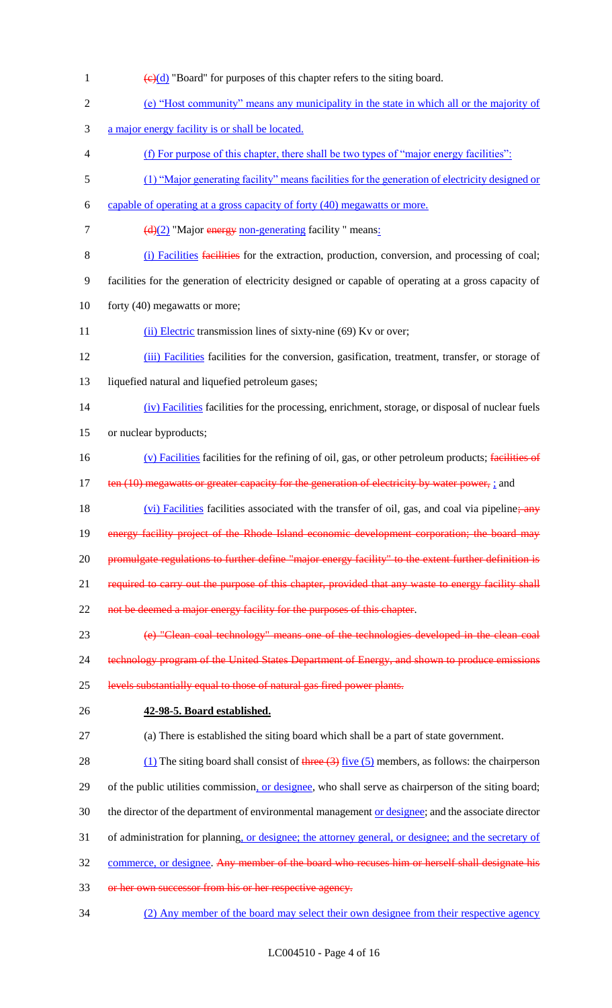$\left(\frac{e}{d}\right)$  "Board" for purposes of this chapter refers to the siting board. (e) "Host community" means any municipality in the state in which all or the majority of a major energy facility is or shall be located. (f) For purpose of this chapter, there shall be two types of "major energy facilities": (1) "Major generating facility" means facilities for the generation of electricity designed or capable of operating at a gross capacity of forty (40) megawatts or more.  $(d)(2)$  "Major energy non-generating facility " means: (i) Facilities facilities for the extraction, production, conversion, and processing of coal; facilities for the generation of electricity designed or capable of operating at a gross capacity of 10 forty (40) megawatts or more; 11 (ii) Electric transmission lines of sixty-nine (69) Kv or over; (iii) Facilities facilities for the conversion, gasification, treatment, transfer, or storage of liquefied natural and liquefied petroleum gases; (iv) Facilities facilities for the processing, enrichment, storage, or disposal of nuclear fuels or nuclear byproducts; (v) Facilities facilities for the refining of oil, gas, or other petroleum products; facilities of 17 ten (10) megawatts or greater capacity for the generation of electricity by water power, ; and 18 (vi) Facilities facilities associated with the transfer of oil, gas, and coal via pipeline; any 19 energy facility project of the Rhode Island economic development corporation; the board may 20 promulgate regulations to further define "major energy facility" to the extent further definition is 21 required to carry out the purpose of this chapter, provided that any waste to energy facility shall 22 not be deemed a major energy facility for the purposes of this chapter. (e) "Clean coal technology" means one of the technologies developed in the clean coal 24 technology program of the United States Department of Energy, and shown to produce emissions levels substantially equal to those of natural gas fired power plants. **42-98-5. Board established.** (a) There is established the siting board which shall be a part of state government. 28 (1) The siting board shall consist of three  $(3)$  five  $(5)$  members, as follows: the chairperson 29 of the public utilities commission, or designee, who shall serve as chairperson of the siting board; 30 the director of the department of environmental management or designee; and the associate director 31 of administration for planning, or designee; the attorney general, or designee; and the secretary of commerce, or designee. Any member of the board who recuses him or herself shall designate his or her own successor from his or her respective agency. (2) Any member of the board may select their own designee from their respective agency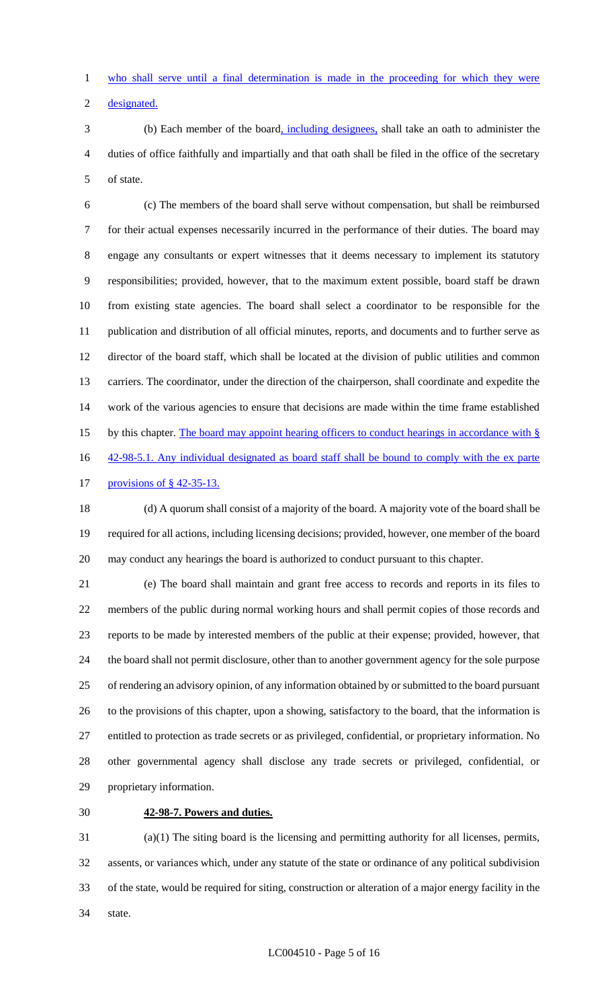who shall serve until a final determination is made in the proceeding for which they were

designated.

 (b) Each member of the board, including designees, shall take an oath to administer the duties of office faithfully and impartially and that oath shall be filed in the office of the secretary of state.

 (c) The members of the board shall serve without compensation, but shall be reimbursed for their actual expenses necessarily incurred in the performance of their duties. The board may engage any consultants or expert witnesses that it deems necessary to implement its statutory responsibilities; provided, however, that to the maximum extent possible, board staff be drawn from existing state agencies. The board shall select a coordinator to be responsible for the publication and distribution of all official minutes, reports, and documents and to further serve as director of the board staff, which shall be located at the division of public utilities and common carriers. The coordinator, under the direction of the chairperson, shall coordinate and expedite the work of the various agencies to ensure that decisions are made within the time frame established 15 by this chapter. The board may appoint hearing officers to conduct hearings in accordance with § 16 42-98-5.1. Any individual designated as board staff shall be bound to comply with the ex parte

provisions of § 42-35-13.

 (d) A quorum shall consist of a majority of the board. A majority vote of the board shall be required for all actions, including licensing decisions; provided, however, one member of the board may conduct any hearings the board is authorized to conduct pursuant to this chapter.

 (e) The board shall maintain and grant free access to records and reports in its files to members of the public during normal working hours and shall permit copies of those records and reports to be made by interested members of the public at their expense; provided, however, that the board shall not permit disclosure, other than to another government agency for the sole purpose of rendering an advisory opinion, of any information obtained by or submitted to the board pursuant to the provisions of this chapter, upon a showing, satisfactory to the board, that the information is entitled to protection as trade secrets or as privileged, confidential, or proprietary information. No other governmental agency shall disclose any trade secrets or privileged, confidential, or proprietary information.

## **42-98-7. Powers and duties.**

 (a)(1) The siting board is the licensing and permitting authority for all licenses, permits, assents, or variances which, under any statute of the state or ordinance of any political subdivision of the state, would be required for siting, construction or alteration of a major energy facility in the state.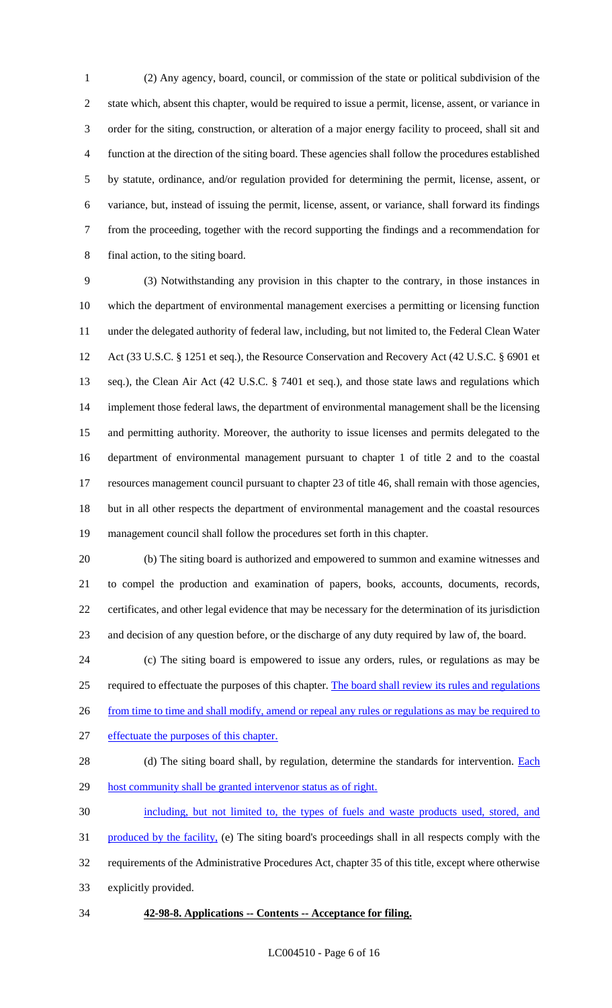(2) Any agency, board, council, or commission of the state or political subdivision of the state which, absent this chapter, would be required to issue a permit, license, assent, or variance in order for the siting, construction, or alteration of a major energy facility to proceed, shall sit and function at the direction of the siting board. These agencies shall follow the procedures established by statute, ordinance, and/or regulation provided for determining the permit, license, assent, or variance, but, instead of issuing the permit, license, assent, or variance, shall forward its findings from the proceeding, together with the record supporting the findings and a recommendation for final action, to the siting board.

 (3) Notwithstanding any provision in this chapter to the contrary, in those instances in which the department of environmental management exercises a permitting or licensing function under the delegated authority of federal law, including, but not limited to, the Federal Clean Water Act (33 U.S.C. § 1251 et seq.), the Resource Conservation and Recovery Act (42 U.S.C. § 6901 et seq.), the Clean Air Act (42 U.S.C. § 7401 et seq.), and those state laws and regulations which 14 implement those federal laws, the department of environmental management shall be the licensing and permitting authority. Moreover, the authority to issue licenses and permits delegated to the department of environmental management pursuant to chapter 1 of title 2 and to the coastal resources management council pursuant to chapter 23 of title 46, shall remain with those agencies, but in all other respects the department of environmental management and the coastal resources management council shall follow the procedures set forth in this chapter.

 (b) The siting board is authorized and empowered to summon and examine witnesses and to compel the production and examination of papers, books, accounts, documents, records, certificates, and other legal evidence that may be necessary for the determination of its jurisdiction and decision of any question before, or the discharge of any duty required by law of, the board.

 (c) The siting board is empowered to issue any orders, rules, or regulations as may be required to effectuate the purposes of this chapter. The board shall review its rules and regulations 26 from time to time and shall modify, amend or repeal any rules or regulations as may be required to effectuate the purposes of this chapter.

28 (d) The siting board shall, by regulation, determine the standards for intervention. **Each** 29 host community shall be granted intervenor status as of right.

 including, but not limited to, the types of fuels and waste products used, stored, and 31 produced by the facility, (e) The siting board's proceedings shall in all respects comply with the requirements of the Administrative Procedures Act, chapter 35 of this title, except where otherwise explicitly provided.

**42-98-8. Applications -- Contents -- Acceptance for filing.**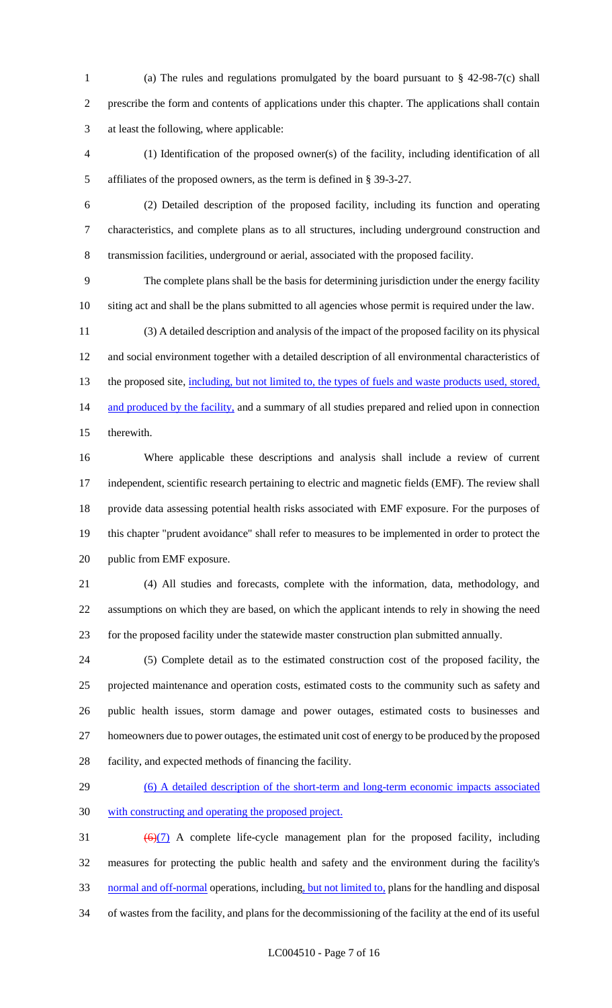(a) The rules and regulations promulgated by the board pursuant to § 42-98-7(c) shall prescribe the form and contents of applications under this chapter. The applications shall contain at least the following, where applicable:

 (1) Identification of the proposed owner(s) of the facility, including identification of all affiliates of the proposed owners, as the term is defined in § 39-3-27.

 (2) Detailed description of the proposed facility, including its function and operating characteristics, and complete plans as to all structures, including underground construction and transmission facilities, underground or aerial, associated with the proposed facility.

 The complete plans shall be the basis for determining jurisdiction under the energy facility siting act and shall be the plans submitted to all agencies whose permit is required under the law.

 (3) A detailed description and analysis of the impact of the proposed facility on its physical and social environment together with a detailed description of all environmental characteristics of 13 the proposed site, including, but not limited to, the types of fuels and waste products used, stored, 14 and produced by the facility, and a summary of all studies prepared and relied upon in connection therewith.

 Where applicable these descriptions and analysis shall include a review of current independent, scientific research pertaining to electric and magnetic fields (EMF). The review shall provide data assessing potential health risks associated with EMF exposure. For the purposes of this chapter "prudent avoidance" shall refer to measures to be implemented in order to protect the public from EMF exposure.

 (4) All studies and forecasts, complete with the information, data, methodology, and assumptions on which they are based, on which the applicant intends to rely in showing the need for the proposed facility under the statewide master construction plan submitted annually.

 (5) Complete detail as to the estimated construction cost of the proposed facility, the projected maintenance and operation costs, estimated costs to the community such as safety and public health issues, storm damage and power outages, estimated costs to businesses and homeowners due to power outages, the estimated unit cost of energy to be produced by the proposed facility, and expected methods of financing the facility.

29 (6) A detailed description of the short-term and long-term economic impacts associated with constructing and operating the proposed project.

 $(6)(7)$  A complete life-cycle management plan for the proposed facility, including measures for protecting the public health and safety and the environment during the facility's 33 normal and off-normal operations, including, but not limited to, plans for the handling and disposal of wastes from the facility, and plans for the decommissioning of the facility at the end of its useful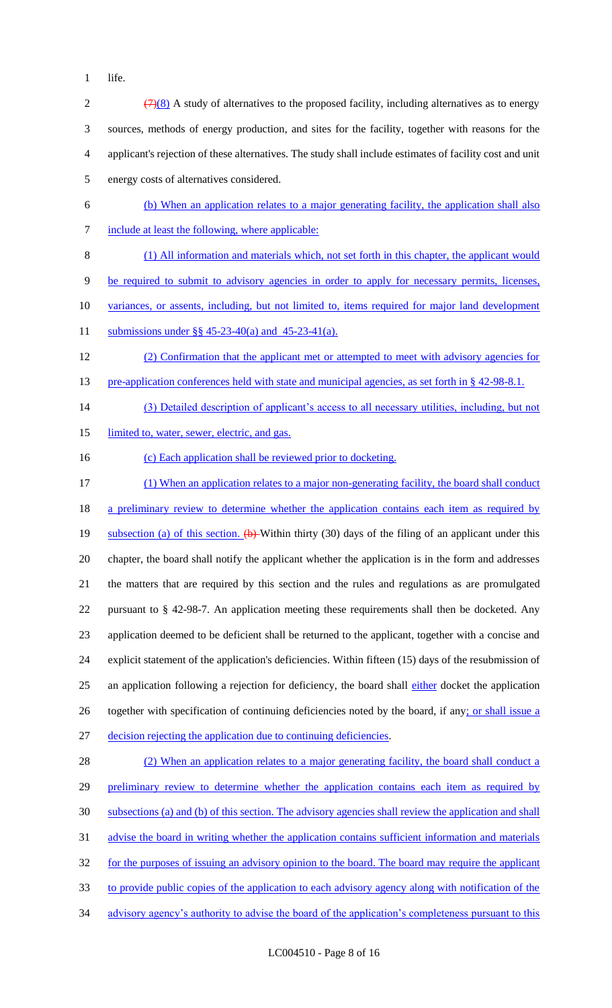1 life.

| $\sqrt{2}$     | $\left(\frac{7}{8}\right)$ A study of alternatives to the proposed facility, including alternatives as to energy            |
|----------------|-----------------------------------------------------------------------------------------------------------------------------|
| 3              | sources, methods of energy production, and sites for the facility, together with reasons for the                            |
| $\overline{4}$ | applicant's rejection of these alternatives. The study shall include estimates of facility cost and unit                    |
| $\mathfrak{S}$ | energy costs of alternatives considered.                                                                                    |
| 6              | (b) When an application relates to a major generating facility, the application shall also                                  |
| $\tau$         | include at least the following, where applicable:                                                                           |
| $8\,$          | (1) All information and materials which, not set forth in this chapter, the applicant would                                 |
| $\overline{9}$ | be required to submit to advisory agencies in order to apply for necessary permits, licenses,                               |
| 10             | variances, or assents, including, but not limited to, items required for major land development                             |
| 11             | submissions under §§ 45-23-40(a) and 45-23-41(a).                                                                           |
| 12             | (2) Confirmation that the applicant met or attempted to meet with advisory agencies for                                     |
| 13             | pre-application conferences held with state and municipal agencies, as set forth in § 42-98-8.1.                            |
| 14             | (3) Detailed description of applicant's access to all necessary utilities, including, but not                               |
| 15             | limited to, water, sewer, electric, and gas.                                                                                |
| 16             | (c) Each application shall be reviewed prior to docketing.                                                                  |
| 17             | (1) When an application relates to a major non-generating facility, the board shall conduct                                 |
| 18             | a preliminary review to determine whether the application contains each item as required by                                 |
| 19             | subsection (a) of this section. $\left(\frac{1}{2}\right)$ Within thirty (30) days of the filing of an applicant under this |
| 20             | chapter, the board shall notify the applicant whether the application is in the form and addresses                          |
| 21             | the matters that are required by this section and the rules and regulations as are promulgated                              |
| 22             | pursuant to § 42-98-7. An application meeting these requirements shall then be docketed. Any                                |
| 23             | application deemed to be deficient shall be returned to the applicant, together with a concise and                          |
| 24             | explicit statement of the application's deficiencies. Within fifteen (15) days of the resubmission of                       |
| 25             | an application following a rejection for deficiency, the board shall either docket the application                          |
| 26             | together with specification of continuing deficiencies noted by the board, if any; or shall issue a                         |
| 27             | decision rejecting the application due to continuing deficiencies.                                                          |
| 28             | (2) When an application relates to a major generating facility, the board shall conduct a                                   |
| 29             | preliminary review to determine whether the application contains each item as required by                                   |
| 30             | subsections (a) and (b) of this section. The advisory agencies shall review the application and shall                       |
| 31             | advise the board in writing whether the application contains sufficient information and materials                           |
| 32             | for the purposes of issuing an advisory opinion to the board. The board may require the applicant                           |
| 33             | to provide public copies of the application to each advisory agency along with notification of the                          |
| 34             | advisory agency's authority to advise the board of the application's completeness pursuant to this                          |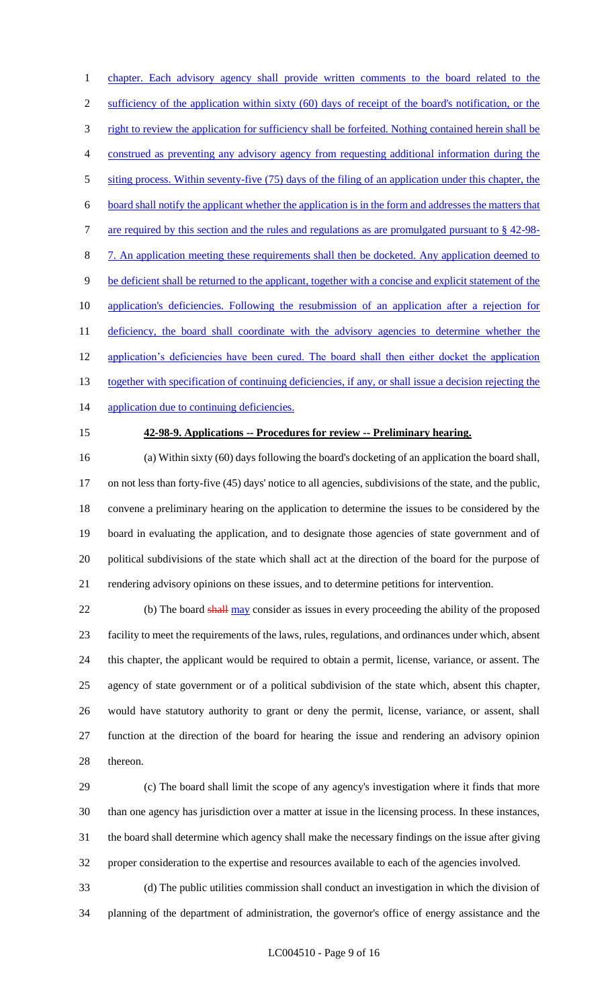1 chapter. Each advisory agency shall provide written comments to the board related to the 2 sufficiency of the application within sixty (60) days of receipt of the board's notification, or the 3 right to review the application for sufficiency shall be forfeited. Nothing contained herein shall be construed as preventing any advisory agency from requesting additional information during the siting process. Within seventy-five (75) days of the filing of an application under this chapter, the board shall notify the applicant whether the application is in the form and addresses the matters that 7 are required by this section and the rules and regulations as are promulgated pursuant to § 42-98- 7. An application meeting these requirements shall then be docketed. Any application deemed to be deficient shall be returned to the applicant, together with a concise and explicit statement of the application's deficiencies. Following the resubmission of an application after a rejection for 11 deficiency, the board shall coordinate with the advisory agencies to determine whether the 12 application's deficiencies have been cured. The board shall then either docket the application 13 together with specification of continuing deficiencies, if any, or shall issue a decision rejecting the 14 application due to continuing deficiencies.

#### **42-98-9. Applications -- Procedures for review -- Preliminary hearing.**

 (a) Within sixty (60) days following the board's docketing of an application the board shall, on not less than forty-five (45) days' notice to all agencies, subdivisions of the state, and the public, convene a preliminary hearing on the application to determine the issues to be considered by the board in evaluating the application, and to designate those agencies of state government and of political subdivisions of the state which shall act at the direction of the board for the purpose of rendering advisory opinions on these issues, and to determine petitions for intervention.

22 (b) The board shall may consider as issues in every proceeding the ability of the proposed facility to meet the requirements of the laws, rules, regulations, and ordinances under which, absent this chapter, the applicant would be required to obtain a permit, license, variance, or assent. The agency of state government or of a political subdivision of the state which, absent this chapter, would have statutory authority to grant or deny the permit, license, variance, or assent, shall function at the direction of the board for hearing the issue and rendering an advisory opinion thereon.

 (c) The board shall limit the scope of any agency's investigation where it finds that more than one agency has jurisdiction over a matter at issue in the licensing process. In these instances, the board shall determine which agency shall make the necessary findings on the issue after giving proper consideration to the expertise and resources available to each of the agencies involved.

 (d) The public utilities commission shall conduct an investigation in which the division of planning of the department of administration, the governor's office of energy assistance and the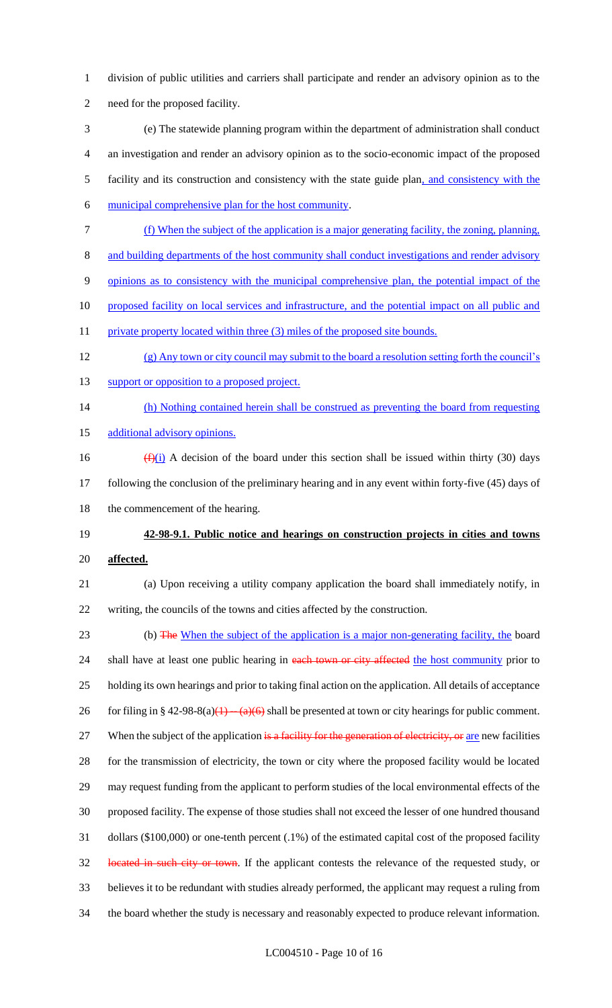- division of public utilities and carriers shall participate and render an advisory opinion as to the need for the proposed facility.
- (e) The statewide planning program within the department of administration shall conduct an investigation and render an advisory opinion as to the socio-economic impact of the proposed facility and its construction and consistency with the state guide plan, and consistency with the
- municipal comprehensive plan for the host community.
- (f) When the subject of the application is a major generating facility, the zoning, planning,
- and building departments of the host community shall conduct investigations and render advisory
- opinions as to consistency with the municipal comprehensive plan, the potential impact of the
- 10 proposed facility on local services and infrastructure, and the potential impact on all public and
- 11 private property located within three (3) miles of the proposed site bounds.
- (g) Any town or city council may submit to the board a resolution setting forth the council's
- 13 support or opposition to a proposed project.
- (h) Nothing contained herein shall be construed as preventing the board from requesting
- 15 additional advisory opinions.
- 16  $(f)(i)$  A decision of the board under this section shall be issued within thirty (30) days following the conclusion of the preliminary hearing and in any event within forty-five (45) days of 18 the commencement of the hearing.
- **42-98-9.1. Public notice and hearings on construction projects in cities and towns affected.**
- (a) Upon receiving a utility company application the board shall immediately notify, in writing, the councils of the towns and cities affected by the construction.
- 23 (b) The When the subject of the application is a major non-generating facility, the board 24 shall have at least one public hearing in each town or city affected the host community prior to holding its own hearings and prior to taking final action on the application. All details of acceptance 26 for filing in § 42-98-8(a)(1)  $-(a)(6)$  shall be presented at town or city hearings for public comment. 27 When the subject of the application is a facility for the generation of electricity, or are new facilities for the transmission of electricity, the town or city where the proposed facility would be located may request funding from the applicant to perform studies of the local environmental effects of the proposed facility. The expense of those studies shall not exceed the lesser of one hundred thousand dollars (\$100,000) or one-tenth percent (.1%) of the estimated capital cost of the proposed facility 32 located in such city or town. If the applicant contests the relevance of the requested study, or believes it to be redundant with studies already performed, the applicant may request a ruling from the board whether the study is necessary and reasonably expected to produce relevant information.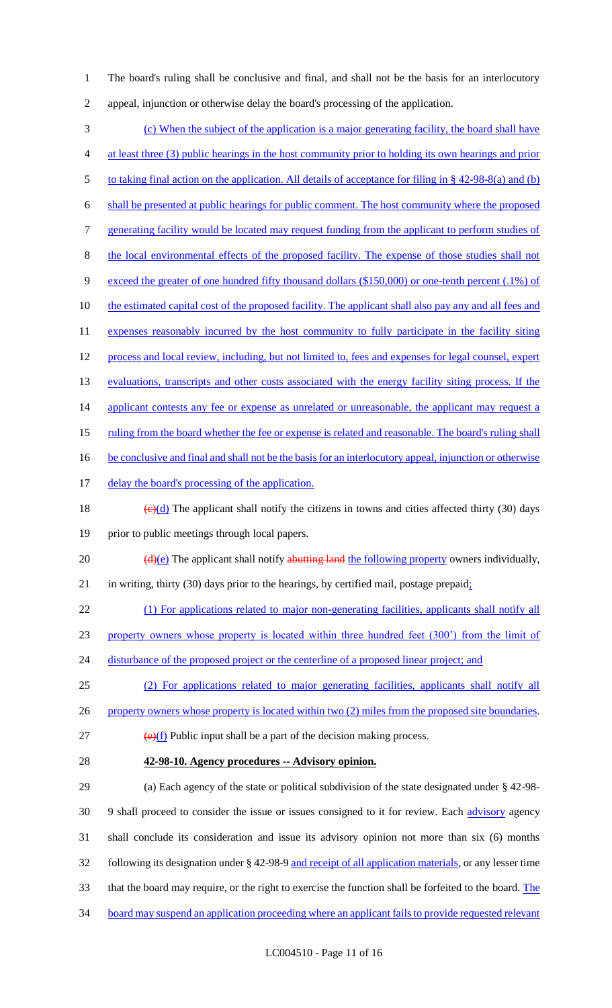1 The board's ruling shall be conclusive and final, and shall not be the basis for an interlocutory 2 appeal, injunction or otherwise delay the board's processing of the application.

3 (c) When the subject of the application is a major generating facility, the board shall have 4 at least three (3) public hearings in the host community prior to holding its own hearings and prior 5 to taking final action on the application. All details of acceptance for filing in § 42-98-8(a) and (b) 6 shall be presented at public hearings for public comment. The host community where the proposed 7 generating facility would be located may request funding from the applicant to perform studies of 8 the local environmental effects of the proposed facility. The expense of those studies shall not 9 exceed the greater of one hundred fifty thousand dollars (\$150,000) or one-tenth percent (.1%) of 10 the estimated capital cost of the proposed facility. The applicant shall also pay any and all fees and 11 expenses reasonably incurred by the host community to fully participate in the facility siting 12 process and local review, including, but not limited to, fees and expenses for legal counsel, expert 13 evaluations, transcripts and other costs associated with the energy facility siting process. If the 14 applicant contests any fee or expense as unrelated or unreasonable, the applicant may request a 15 ruling from the board whether the fee or expense is related and reasonable. The board's ruling shall 16 be conclusive and final and shall not be the basis for an interlocutory appeal, injunction or otherwise 17 delay the board's processing of the application. 18 (e)(d) The applicant shall notify the citizens in towns and cities affected thirty (30) days 19 prior to public meetings through local papers. 20  $\left(\frac{d}{e}\right)$  The applicant shall notify abutting land the following property owners individually, 21 in writing, thirty (30) days prior to the hearings, by certified mail, postage prepaid; 22 (1) For applications related to major non-generating facilities, applicants shall notify all 23 property owners whose property is located within three hundred feet (300') from the limit of 24 disturbance of the proposed project or the centerline of a proposed linear project; and 25 (2) For applications related to major generating facilities, applicants shall notify all 26 property owners whose property is located within two (2) miles from the proposed site boundaries.  $\left(\frac{e}{f}\right)$  Public input shall be a part of the decision making process. 28 **42-98-10. Agency procedures -- Advisory opinion.** 29 (a) Each agency of the state or political subdivision of the state designated under § 42-98- 30 9 shall proceed to consider the issue or issues consigned to it for review. Each advisory agency 31 shall conclude its consideration and issue its advisory opinion not more than six (6) months 32 following its designation under § 42-98-9 and receipt of all application materials, or any lesser time 33 that the board may require, or the right to exercise the function shall be forfeited to the board. The

- 34 board may suspend an application proceeding where an applicant fails to provide requested relevant
	- LC004510 Page 11 of 16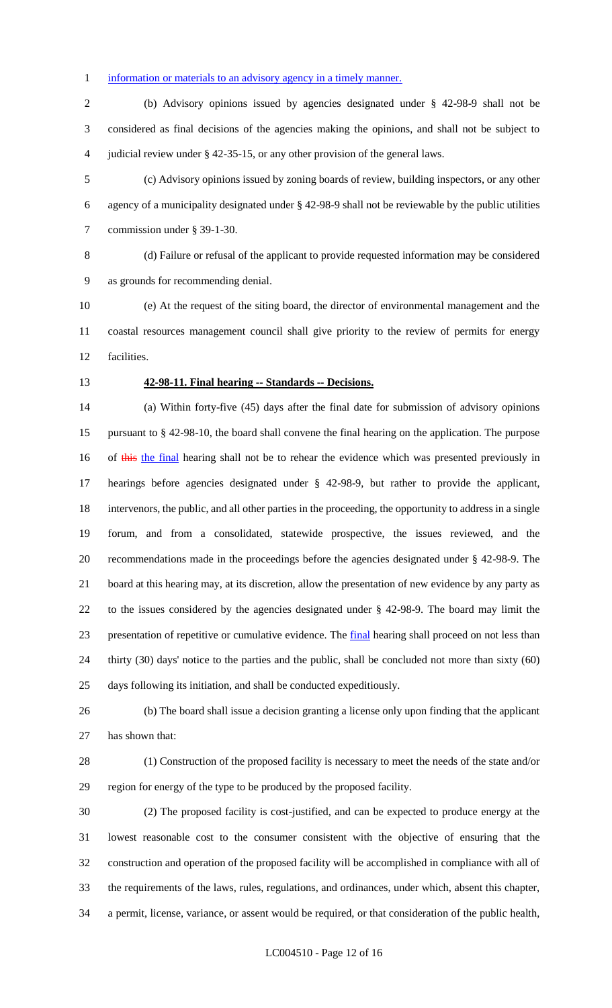### 1 information or materials to an advisory agency in a timely manner.

 (b) Advisory opinions issued by agencies designated under § 42-98-9 shall not be considered as final decisions of the agencies making the opinions, and shall not be subject to judicial review under § 42-35-15, or any other provision of the general laws.

 (c) Advisory opinions issued by zoning boards of review, building inspectors, or any other agency of a municipality designated under § 42-98-9 shall not be reviewable by the public utilities commission under § 39-1-30.

 (d) Failure or refusal of the applicant to provide requested information may be considered as grounds for recommending denial.

 (e) At the request of the siting board, the director of environmental management and the coastal resources management council shall give priority to the review of permits for energy facilities.

#### **42-98-11. Final hearing -- Standards -- Decisions.**

 (a) Within forty-five (45) days after the final date for submission of advisory opinions pursuant to § 42-98-10, the board shall convene the final hearing on the application. The purpose 16 of this the final hearing shall not be to rehear the evidence which was presented previously in hearings before agencies designated under § 42-98-9, but rather to provide the applicant, intervenors, the public, and all other parties in the proceeding, the opportunity to address in a single forum, and from a consolidated, statewide prospective, the issues reviewed, and the recommendations made in the proceedings before the agencies designated under § 42-98-9. The board at this hearing may, at its discretion, allow the presentation of new evidence by any party as to the issues considered by the agencies designated under § 42-98-9. The board may limit the presentation of repetitive or cumulative evidence. The final hearing shall proceed on not less than thirty (30) days' notice to the parties and the public, shall be concluded not more than sixty (60) days following its initiation, and shall be conducted expeditiously.

 (b) The board shall issue a decision granting a license only upon finding that the applicant has shown that:

 (1) Construction of the proposed facility is necessary to meet the needs of the state and/or region for energy of the type to be produced by the proposed facility.

 (2) The proposed facility is cost-justified, and can be expected to produce energy at the lowest reasonable cost to the consumer consistent with the objective of ensuring that the construction and operation of the proposed facility will be accomplished in compliance with all of the requirements of the laws, rules, regulations, and ordinances, under which, absent this chapter, a permit, license, variance, or assent would be required, or that consideration of the public health,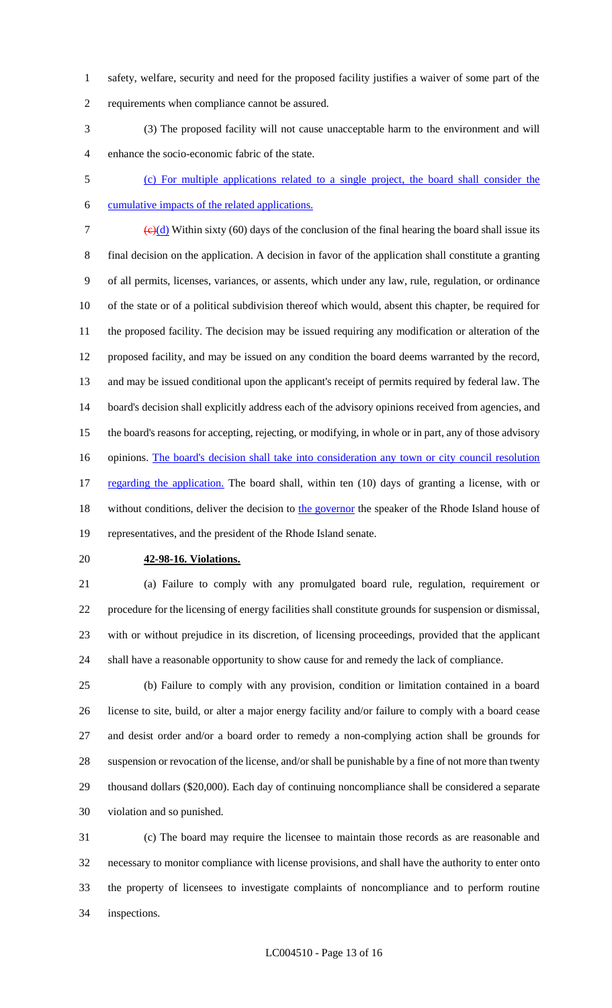- safety, welfare, security and need for the proposed facility justifies a waiver of some part of the requirements when compliance cannot be assured.
- (3) The proposed facility will not cause unacceptable harm to the environment and will enhance the socio-economic fabric of the state.
- 
- (c) For multiple applications related to a single project, the board shall consider the cumulative impacts of the related applications.
- 7  $\left(\frac{c}{d}\right)$  Within sixty (60) days of the conclusion of the final hearing the board shall issue its final decision on the application. A decision in favor of the application shall constitute a granting of all permits, licenses, variances, or assents, which under any law, rule, regulation, or ordinance of the state or of a political subdivision thereof which would, absent this chapter, be required for the proposed facility. The decision may be issued requiring any modification or alteration of the proposed facility, and may be issued on any condition the board deems warranted by the record, and may be issued conditional upon the applicant's receipt of permits required by federal law. The board's decision shall explicitly address each of the advisory opinions received from agencies, and the board's reasons for accepting, rejecting, or modifying, in whole or in part, any of those advisory 16 opinions. The board's decision shall take into consideration any town or city council resolution 17 regarding the application. The board shall, within ten (10) days of granting a license, with or 18 without conditions, deliver the decision to the governor the speaker of the Rhode Island house of representatives, and the president of the Rhode Island senate.
- 

#### **42-98-16. Violations.**

 (a) Failure to comply with any promulgated board rule, regulation, requirement or procedure for the licensing of energy facilities shall constitute grounds for suspension or dismissal, with or without prejudice in its discretion, of licensing proceedings, provided that the applicant shall have a reasonable opportunity to show cause for and remedy the lack of compliance.

 (b) Failure to comply with any provision, condition or limitation contained in a board license to site, build, or alter a major energy facility and/or failure to comply with a board cease and desist order and/or a board order to remedy a non-complying action shall be grounds for suspension or revocation of the license, and/or shall be punishable by a fine of not more than twenty thousand dollars (\$20,000). Each day of continuing noncompliance shall be considered a separate violation and so punished.

 (c) The board may require the licensee to maintain those records as are reasonable and necessary to monitor compliance with license provisions, and shall have the authority to enter onto the property of licensees to investigate complaints of noncompliance and to perform routine inspections.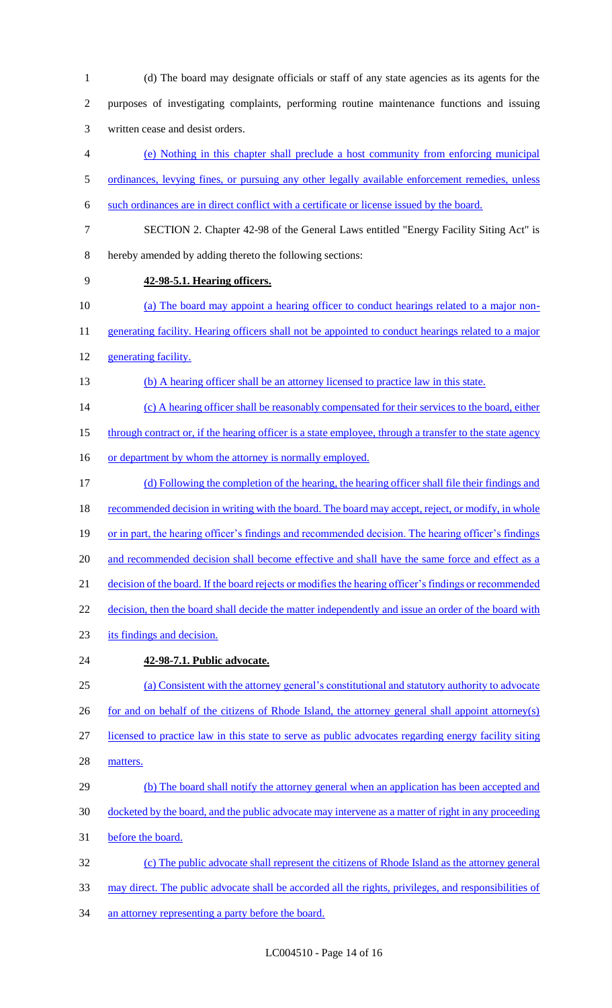(d) The board may designate officials or staff of any state agencies as its agents for the purposes of investigating complaints, performing routine maintenance functions and issuing written cease and desist orders. (e) Nothing in this chapter shall preclude a host community from enforcing municipal 5 ordinances, levying fines, or pursuing any other legally available enforcement remedies, unless such ordinances are in direct conflict with a certificate or license issued by the board. SECTION 2. Chapter 42-98 of the General Laws entitled "Energy Facility Siting Act" is hereby amended by adding thereto the following sections: **42-98-5.1. Hearing officers.**  (a) The board may appoint a hearing officer to conduct hearings related to a major non-11 generating facility. Hearing officers shall not be appointed to conduct hearings related to a major generating facility. (b) A hearing officer shall be an attorney licensed to practice law in this state. 14 (c) A hearing officer shall be reasonably compensated for their services to the board, either 15 through contract or, if the hearing officer is a state employee, through a transfer to the state agency 16 or department by whom the attorney is normally employed. (d) Following the completion of the hearing, the hearing officer shall file their findings and 18 recommended decision in writing with the board. The board may accept, reject, or modify, in whole 19 or in part, the hearing officer's findings and recommended decision. The hearing officer's findings 20 and recommended decision shall become effective and shall have the same force and effect as a decision of the board. If the board rejects or modifies the hearing officer's findings or recommended 22 decision, then the board shall decide the matter independently and issue an order of the board with its findings and decision. **42-98-7.1. Public advocate.**  (a) Consistent with the attorney general's constitutional and statutory authority to advocate 26 for and on behalf of the citizens of Rhode Island, the attorney general shall appoint attorney(s) licensed to practice law in this state to serve as public advocates regarding energy facility siting matters. 29 (b) The board shall notify the attorney general when an application has been accepted and docketed by the board, and the public advocate may intervene as a matter of right in any proceeding before the board. (c) The public advocate shall represent the citizens of Rhode Island as the attorney general may direct. The public advocate shall be accorded all the rights, privileges, and responsibilities of

34 an attorney representing a party before the board.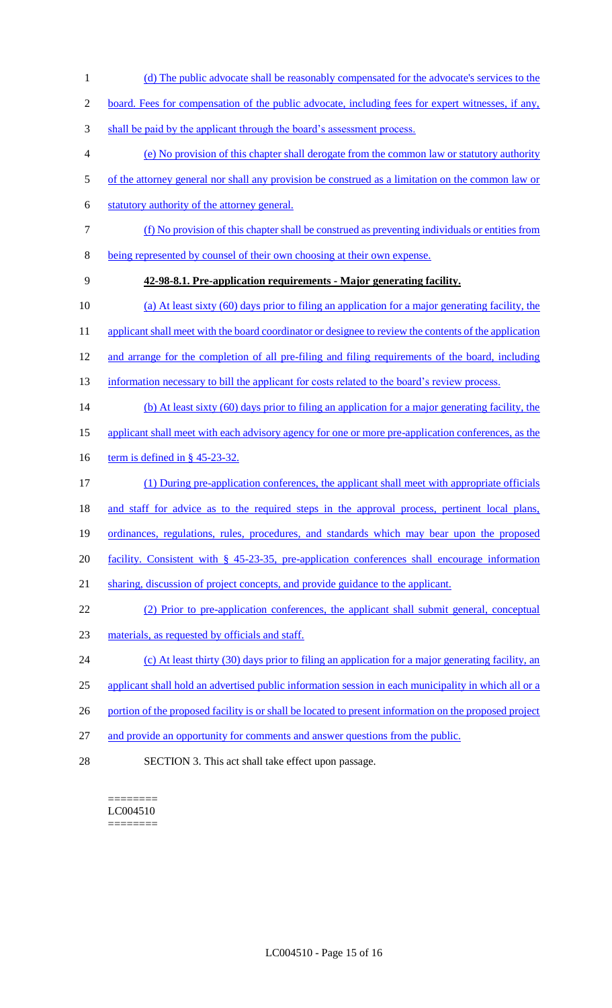1 (d) The public advocate shall be reasonably compensated for the advocate's services to the

2 board. Fees for compensation of the public advocate, including fees for expert witnesses, if any,

- 3 shall be paid by the applicant through the board's assessment process.
- 4 (e) No provision of this chapter shall derogate from the common law or statutory authority
- 5 of the attorney general nor shall any provision be construed as a limitation on the common law or
- 6 statutory authority of the attorney general.
- 7 (f) No provision of this chapter shall be construed as preventing individuals or entities from
- 8 being represented by counsel of their own choosing at their own expense.
- 9 **42-98-8.1. Pre-application requirements - Major generating facility.**
- 10 (a) At least sixty (60) days prior to filing an application for a major generating facility, the
- 11 applicant shall meet with the board coordinator or designee to review the contents of the application
- 12 and arrange for the completion of all pre-filing and filing requirements of the board, including
- 13 information necessary to bill the applicant for costs related to the board's review process.
- 14 (b) At least sixty (60) days prior to filing an application for a major generating facility, the
- 15 applicant shall meet with each advisory agency for one or more pre-application conferences, as the
- 16 term is defined in § 45-23-32.
- 17 (1) During pre-application conferences, the applicant shall meet with appropriate officials
- 18 and staff for advice as to the required steps in the approval process, pertinent local plans,
- 19 ordinances, regulations, rules, procedures, and standards which may bear upon the proposed
- 20 facility. Consistent with § 45-23-35, pre-application conferences shall encourage information
- 21 sharing, discussion of project concepts, and provide guidance to the applicant.
- 22 (2) Prior to pre-application conferences, the applicant shall submit general, conceptual
- 23 materials, as requested by officials and staff.
- 24 (c) At least thirty (30) days prior to filing an application for a major generating facility, an
- 25 applicant shall hold an advertised public information session in each municipality in which all or a
- 26 portion of the proposed facility is or shall be located to present information on the proposed project
- 27 and provide an opportunity for comments and answer questions from the public.
- 28 SECTION 3. This act shall take effect upon passage.

======== LC004510 ========